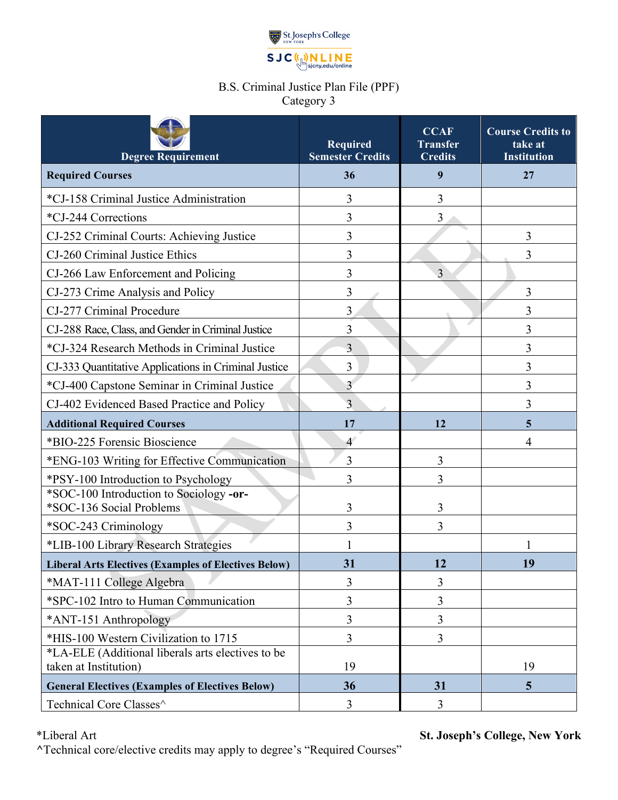

## B.S. Criminal Justice Plan File (PPF) Category 3

| <b>Degree Requirement</b>                                           | Required<br><b>Semester Credits</b> | <b>CCAF</b><br><b>Transfer</b><br><b>Credits</b> | <b>Course Credits to</b><br>take at<br><b>Institution</b> |
|---------------------------------------------------------------------|-------------------------------------|--------------------------------------------------|-----------------------------------------------------------|
| <b>Required Courses</b>                                             | 36                                  | 9                                                | 27                                                        |
| *CJ-158 Criminal Justice Administration                             | 3                                   | 3                                                |                                                           |
| *CJ-244 Corrections                                                 | 3                                   | 3                                                |                                                           |
| CJ-252 Criminal Courts: Achieving Justice                           | 3                                   |                                                  | 3                                                         |
| CJ-260 Criminal Justice Ethics                                      | 3                                   |                                                  | 3                                                         |
| CJ-266 Law Enforcement and Policing                                 | 3                                   | 3                                                |                                                           |
| CJ-273 Crime Analysis and Policy                                    | 3                                   |                                                  | 3                                                         |
| CJ-277 Criminal Procedure                                           | 3                                   |                                                  | 3                                                         |
| CJ-288 Race, Class, and Gender in Criminal Justice                  | 3                                   |                                                  | 3                                                         |
| *CJ-324 Research Methods in Criminal Justice                        | 3                                   |                                                  | 3                                                         |
| CJ-333 Quantitative Applications in Criminal Justice                | 3                                   |                                                  | 3                                                         |
| *CJ-400 Capstone Seminar in Criminal Justice                        | $\overline{3}$                      |                                                  | 3                                                         |
| CJ-402 Evidenced Based Practice and Policy                          | 3                                   |                                                  | 3                                                         |
| <b>Additional Required Courses</b>                                  | 17                                  | 12                                               | 5                                                         |
| *BIO-225 Forensic Bioscience                                        | $\overline{4}$                      |                                                  | 4                                                         |
| *ENG-103 Writing for Effective Communication                        | 3                                   | 3                                                |                                                           |
| *PSY-100 Introduction to Psychology                                 | 3                                   | 3                                                |                                                           |
| *SOC-100 Introduction to Sociology -or-<br>*SOC-136 Social Problems | 3                                   | 3                                                |                                                           |
| *SOC-243 Criminology                                                | 3                                   | 3                                                |                                                           |
| *LIB-100 Library Research Strategies                                |                                     |                                                  |                                                           |
| <b>Liberal Arts Electives (Examples of Electives Below)</b>         | 31                                  | 12                                               | 19                                                        |
| *MAT-111 College Algebra                                            | 3                                   | 3                                                |                                                           |
| *SPC-102 Intro to Human Communication                               | 3                                   | 3                                                |                                                           |
| *ANT-151 Anthropology                                               | 3                                   | 3                                                |                                                           |
| *HIS-100 Western Civilization to 1715                               | 3                                   | 3                                                |                                                           |
| *LA-ELE (Additional liberals arts electives to be                   |                                     |                                                  |                                                           |
| taken at Institution)                                               | 19                                  |                                                  | 19                                                        |
| <b>General Electives (Examples of Electives Below)</b>              | 36                                  | 31                                               | 5                                                         |
| Technical Core Classes^                                             | 3                                   | 3                                                |                                                           |

\*Liberal Art **St. Joseph's College, New York**

**^**Technical core/elective credits may apply to degree's "Required Courses"